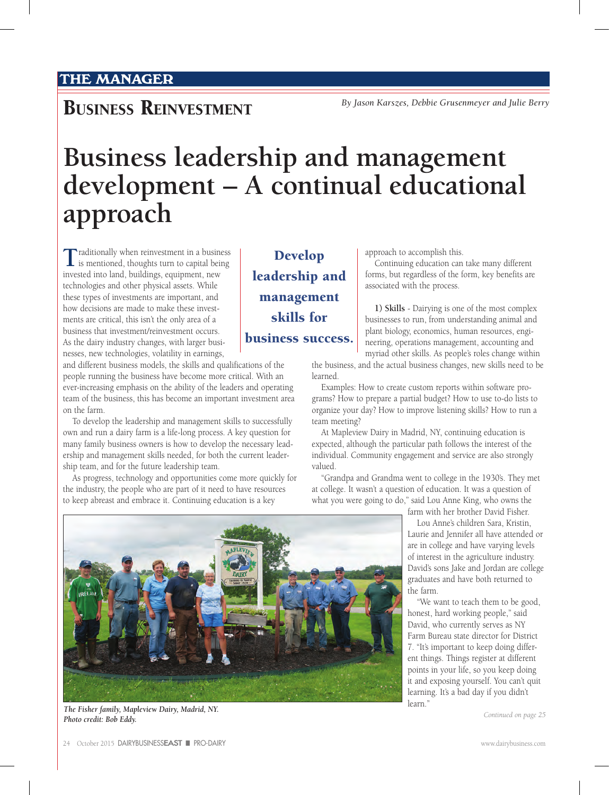## **BUSINESS REINVESTMENT** *By Jason Karszes, Debbie Grusenmeyer and Julie Berry*

## **Business leadership and management development – A continual educational approach**

**T**raditionally when reinvestment in a business is mentioned, thoughts turn to capital being invested into land, buildings, equipment, new technologies and other physical assets. While these types of investments are important, and how decisions are made to make these investments are critical, this isn't the only area of a business that investment/reinvestment occurs. As the dairy industry changes, with larger businesses, new technologies, volatility in earnings,

and different business models, the skills and qualifications of the people running the business have become more critical. With an ever-increasing emphasis on the ability of the leaders and operating team of the business, this has become an important investment area on the farm.

To develop the leadership and management skills to successfully own and run a dairy farm is a life-long process. A key question for many family business owners is how to develop the necessary leadership and management skills needed, for both the current leadership team, and for the future leadership team.

As progress, technology and opportunities come more quickly for the industry, the people who are part of it need to have resources to keep abreast and embrace it. Continuing education is a key

approach to accomplish this.

Continuing education can take many different forms, but regardless of the form, key benefits are associated with the process.

**1) Skills** - Dairying is one of the most complex businesses to run, from understanding animal and plant biology, economics, human resources, engineering, operations management, accounting and myriad other skills. As people's roles change within

the business, and the actual business changes, new skills need to be learned.

Examples: How to create custom reports within software programs? How to prepare a partial budget? How to use to-do lists to organize your day? How to improve listening skills? How to run a team meeting?

At Mapleview Dairy in Madrid, NY, continuing education is expected, although the particular path follows the interest of the individual. Community engagement and service are also strongly valued.

"Grandpa and Grandma went to college in the 1930's. They met at college. It wasn't a question of education. It was a question of what you were going to do," said Lou Anne King, who owns the

farm with her brother David Fisher.

Lou Anne's children Sara, Kristin, Laurie and Jennifer all have attended or are in college and have varying levels of interest in the agriculture industry. David's sons Jake and Jordan are college graduates and have both returned to the farm.

"We want to teach them to be good, honest, hard working people," said David, who currently serves as NY Farm Bureau state director for District 7. "It's important to keep doing different things. Things register at different points in your life, so you keep doing it and exposing yourself. You can't quit learning. It's a bad day if you didn't learn.'

*Continued on page 25*



*The Fisher family, Mapleview Dairy, Madrid, NY. Photo credit: Bob Eddy.*

24 October 2015 DAIRYBUSINESS**EAST** n PRO-DAIRY www.dairybusiness.com

Develop leadership and management skills for business success.